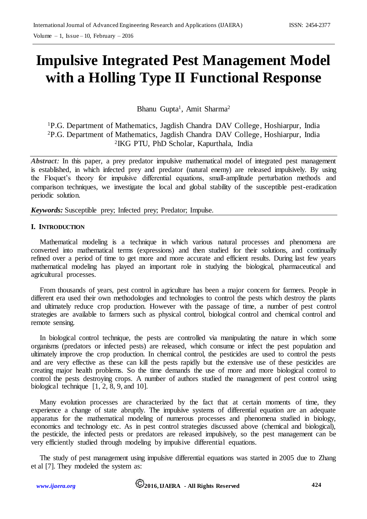# **Impulsive Integrated Pest Management Model with a Holling Type II Functional Response**

Bhanu Gupta<sup>1</sup>, Amit Sharma<sup>2</sup>

<sup>1</sup>P.G. Department of Mathematics, Jagdish Chandra DAV College, Hoshiarpur, India <sup>2</sup>P.G. Department of Mathematics, Jagdish Chandra DAV College, Hoshiarpur, India 2 IKG PTU, PhD Scholar, Kapurthala, India

*Abstract*: In this paper, a prey predator impulsive mathematical model of integrated pest management is established, in which infected prey and predator (natural enemy) are released impulsively. By using the Floquet's theory for impulsive differential equations, small-amplitude perturbation methods and comparison techniques, we investigate the local and global stability of the susceptible pest-eradication periodic solution.

*Keywords:* Susceptible prey; Infected prey; Predator; Impulse.

#### **I. INTRODUCTION**

Mathematical modeling is a technique in which various natural processes and phenomena are converted into mathematical terms (expressions) and then studied for their solutions, and continually refined over a period of time to get more and more accurate and efficient results. During last few years mathematical modeling has played an important role in studying the biological, pharmaceutical and agricultural processes.

From thousands of years, pest control in agriculture has been a major concern for farmers. People in different era used their own methodologies and technologies to control the pests which destroy the plants and ultimately reduce crop production. However with the passage of time, a number of pest control strategies are available to farmers such as physical control, biological control and chemical control and remote sensing.

In biological control technique, the pests are controlled via manipulating the nature in which some organisms (predators or infected pests) are released, which consume or infect the pest population and ultimately improve the crop production. In chemical control, the pesticides are used to control the pests and are very effective as these can kill the pests rapidly but the extensive use of these pesticides are creating major health problems. So the time demands the use of more and more biological control to control the pests destroying crops. A number of authors studied the management of pest control using biological technique [1, 2, 8, 9, and 10].

Many evolution processes are characterized by the fact that at certain moments of time, they experience a change of state abruptly. The impulsive systems of differential equation are an adequate apparatus for the mathematical modeling of numerous processes and phenomena studied in biology, economics and technology etc. As in pest control strategies discussed above (chemical and biological), the pesticide, the infected pests or predators are released impulsively, so the pest management can be very efficiently studied through modeling by impulsive differential equations.

The study of pest management using impulsive differential equations was started in 2005 due to Zhang et al [7]. They modeled the system as: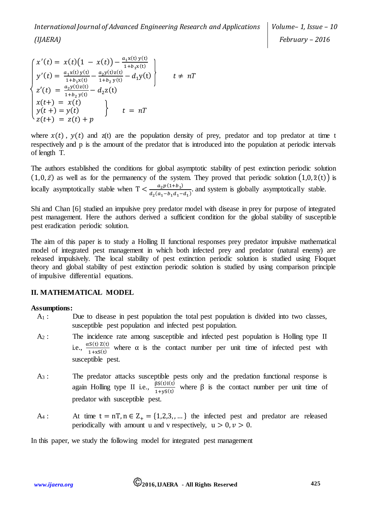$$
\begin{cases}\nx'(t) = x(t)(1 - x(t)) - \frac{a_1x(t)y(t)}{1 + b_1x(t)} \\
y'(t) = \frac{a_1x(t)y(t)}{1 + b_1x(t)} - \frac{a_2y(t)z(t)}{1 + b_2y(t)} - d_1y(t) \\
z'(t) = \frac{a_2y(t)z(t)}{1 + b_2y(t)} - d_2z(t) \\
x(t+) = x(t) \\
y(t+) = y(t) \\
z(t+) = z(t) + p\n\end{cases} \quad t = nT
$$

where  $x(t)$ ,  $y(t)$  and  $z(t)$  are the population density of prey, predator and top predator at time t respectively and p is the amount of the predator that is introduced into the population at periodic intervals of length T.

The authors established the conditions for global asymptotic stability of pest extinction periodic solution  $(1,0,\bar{z})$  as well as for the permanency of the system. They proved that periodic solution  $(1,0,\tilde{z}(t))$  is locally asymptotically stable when  $T < \frac{a_2 p(1+b_1)}{a_2 (a_1 + b_1)}$  $\frac{a_2 p(1 + b_1)}{d_2(a_1 - b_1 d_1 - d_1)}$  and system is globally asymptotically stable.

Shi and Chan [6] studied an impulsive prey predator model with disease in prey for purpose of integrated pest management. Here the authors derived a sufficient condition for the global stability of susceptible pest eradication periodic solution.

The aim of this paper is to study a Holling II functional responses prey predator impulsive mathematical model of integrated pest management in which both infected prey and predator (natural enemy) are released impulsively. The local stability of pest extinction periodic solution is studied using Floquet theory and global stability of pest extinction periodic solution is studied by using comparison principle of impulsive differential equations.

# **II. MATHEMATICAL MODEL**

### **Assumptions:**

- A<sup>1</sup> : Due to disease in pest population the total pest population is divided into two classes, susceptible pest population and infected pest population.
- A<sup>2</sup> : The incidence rate among susceptible and infected pest population is Holling type II i.e.,  $\frac{\alpha S(t) Z(t)}{1 + x S(t)}$  where  $\alpha$  is the contact number per unit time of infected pest with susceptible pest.
- A<sup>3</sup> : The predator attacks susceptible pests only and the predation functional response is again Holling type II i.e.,  $\frac{\beta S(t)I(t)}{1+yS(t)}$  where  $\beta$  is the contact number per unit time of predator with susceptible pest.
- A<sub>4</sub> : At time  $t = nT, n \in Z_+ = \{1, 2, 3, \dots\}$  the infected pest and predator are released periodically with amount u and v respectively,  $u > 0, v > 0$ .

In this paper, we study the following model for integrated pest management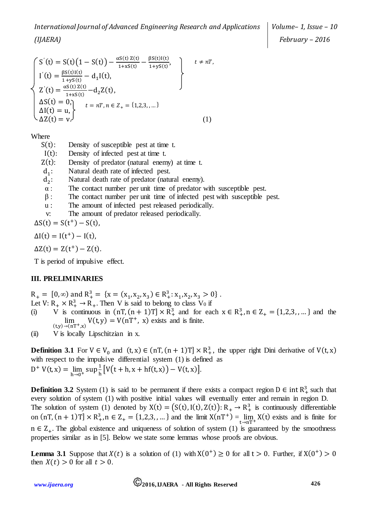$$
\begin{cases}\nS'(t) = S(t)\left(1 - S(t)\right) - \frac{\alpha S(t) Z(t)}{1 + x S(t)} - \frac{\beta S(t) I(t)}{1 + y S(t)}, \\
I'(t) = \frac{\beta S(t) I(t)}{1 + y S(t)} - d_1 I(t), \\
Z'(t) = \frac{\alpha S(t) Z(t)}{1 + x S(t)} - d_2 Z(t), \\
\Delta S(t) = 0, \\
\Delta I(t) = u, \\
\Delta Z(t) = v.\n\end{cases} \quad t = nT, n \in Z_+ = \{1, 2, 3, \dots\}
$$
\n(1)

Where

- $S(t)$ : Density of susceptible pest at time t.
- I(t): Density of infected pest at time t.
- $Z(t)$ : Density of predator (natural enemy) at time t.
- $d_1$ : : Natural death rate of infected pest.
- $d_2$ : : Natural death rate of predator (natural enemy).
- $\alpha$  : The contact number per unit time of predator with susceptible pest.
- $\beta$ : The contact number per unit time of infected pest with susceptible pest.
- u : The amount of infected pest released periodically.
- v: The amount of predator released periodically.

 $\Delta S(t) = S(t^{+}) - S(t),$ 

 $\Delta I(t) = I(t^{+}) - I(t),$ 

 $\Delta Z(t) = Z(t^{+}) - Z(t)$ .

T is period of impulsive effect.

# **III. PRELIMINARIES**

- $R_+ = [0, \infty)$  and  $R_+^3 = \{x = (x_1, x_2, x_3) \in R_+^3 : x_1, x_2, x_3 > 0\}$ .
- Let  $V: R_+ \times R_+^3 \to R_+$ . Then V is said to belong to class  $V_0$  if
- (i) V is continuous in  $(nT, (n + 1)T] \times R_+^3$  and for each  $x \in R_+^3$ ,  $n \in Z_+ = \{1, 2, 3, \dots\}$  and the  $\lim_{(ty) \to (nT^+,x)} V(t,y) = V(nT^+,x)$  exists and is finite.
- (ii) V is locally Lipschitzian in x.

**Definition 3.1** For  $V \in V_0$  and  $(t, x) \in (nT, (n + 1)T] \times R_+^3$ , the upper right Dini derivative of  $V(t, x)$ with respect to the impulsive differential system (1) is defined as  $D^+ V(t, x) = \lim_{h \to 0^+} \sup \frac{1}{h}$  $\frac{1}{h}[V(t+h,x+hf(t,x))-V(t,x)].$ 

**Definition 3.2** System (1) is said to be permanent if there exists a compact region  $D \in \text{int } R_+^3$  such that every solution of system (1) with positive initial values will eventually enter and remain in region D. The solution of system (1) denoted by  $X(t) = (S(t), I(t), Z(t))$ :  $R_+ \rightarrow R_+^3$  is continuously differentiable on  $(nT, (n + 1)T] \times R_+^3$ ,  $n \in Z_+ = \{1, 2, 3, ... \}$  and the limit  $X(nT^+) = \lim_{t \to nT^+} X(t)$  exists and is finite for  $n \in \mathbb{Z}_+$ . The global existence and uniqueness of solution of system (1) is guaranteed by the smoothness properties similar as in [5]. Below we state some lemmas whose proofs are obvious.

**Lemma 3.1** Suppose that  $X(t)$  is a solution of (1) with  $X(0^+) \ge 0$  for all  $t > 0$ . Further, if  $X(0^+) > 0$ then  $X(t) > 0$  for all  $t > 0$ .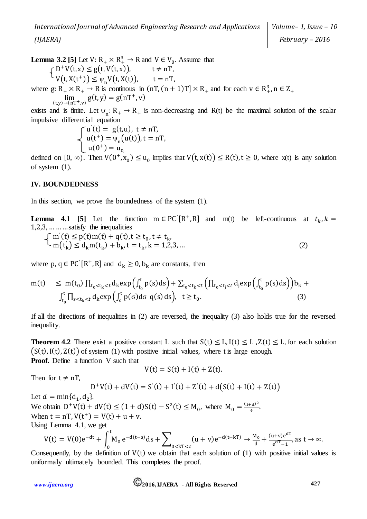**Lemma 3.2** [5] Let  $V: R_+ \times R_+^3 \rightarrow R$  and  $V \in V_0$ . Assume that  $D^+V(t,x) \le g(t, V(t,x)), \qquad t \neq nT,$ 

$$
V(t, X(t^+)) \leq \psi_n V(t, X(t)), \qquad t = nT,
$$

where  $g: R_+ \times R_+ \to R$  is continuous in  $(nT, (n + 1)T] \times R_+$  and for each  $v \in R_+^3$ ,  $n \in Z_+$  $\lim_{(t,y)\to(nT^+,v)} g(t,y) = g(nT^+,v)$ 

exists and is finite. Let  $\psi_n: R_+ \to R_+$  is non-decreasing and R(t) be the maximal solution of the scalar impulsive differential equation

$$
\begin{cases}\nu'(t) = g(t, u), \ t \neq n, \\
u(t^+) = \psi_n(u(t)), t = n, \\
u(0^+) = u_0, \\
u(0^+) = u(0^+) = u(0^+) \\
u(0^+) = u(0^+) = u(0^+) \\
u(0^+) = u(0^+) = u(0^+) \\
u(0^+) = u(0^+) = u(0^+) \\
u(0^+) = u(0^+) = u(0^+) \\
u(0^+) = u(0^+) = u(0^+) \\
u(0^+) = u(0^+) = u(0^+) \\
u(0^+) = u(0^+) = u(0^+) \\
u(0^+) = u(0^+) = u(0^+) \\
u(0^+) = u(0^+) = u(0^+) \\
u(0^+) = u(0^+) = u(0^+) \\
u(0^+) = u(0^+) = u(0^+) \\
u(0^+) = u(0^+) = u(0^+) \\
u(0^+) = u(0^+) = u(0^+) \\
u(0^+) = u(0^+) = u(0^+) \\
u(0^+) = u(0^+) = u(0^+) \\
u(0^+) = u(0^+) = u(0^+) \\
u(0^+) = u(0^+) = u(0^+) \\
u(0^+) = u(0^+) = u(0^+) \\
u(0^+) = u(0^+) = u(0^+) \\
u(0^+) = u(0^+) = u(0^+) \\
u(0^+) = u(0^+) = u(0^+) \\
u(0^+) = u(0^+) = u(0^+) \\
u(0^+) = u(0^+) = u(0^+) \\
u(0^+) = u(0^+) = u(0^+) \\
u(0^+) = u(0^+) = u(0^+) \\
u(0^+) = u(0^+) = u(0^+) \\
u(0^+) = u(0^+) = u(0^+) \\
u(0^+) = u(0^+) = u(0^+) \\
u(0^+) = u(0^+) = u(0^+) \\
u(0^+) = u(0^+) = u(0^+) \\
u(0^+) = u(0^+) = u(0^+) \\
u(0^+) = u(0^+) = u(0^+) \\
u(0^+) = u(0^+) = u(0^+) \\
u(0^+) = u(0^+) = u(0^+) \\
u(0^+) = u(0^+) = u(0^+) \\
u(0^+) = u(0^+) = u(0^+) \\
u(0^+) = u(0^+) = u(0^+) \\
u(0^+) = u(0^+) = u(0^+) \\
u(0^+) = u(
$$

defined on  $[0, \infty)$ . Then  $V(0^+, x_0) \le u_0$  implies that  $V(t, x(t)) \le R(t)$ ,  $t \ge 0$ , where  $x(t)$  is any solution of system (1).

## **IV. BOUNDEDNESS**

In this section, we prove the boundedness of the system (1).

**Lemma 4.1** [5] Let the function  $m \in PC'[R^+, R]$  and  $m(t)$  be left-continuous at  $t_k, k =$ 1,2,3, … ……satisfy the inequalities

$$
\begin{cases} m'(t) \le p(t)m(t) + q(t), t \ge t_0, t \ne t_k, \\ m(t_k) \le d_k m(t_k) + b_k, t = t_k, k = 1, 2, 3, ... \end{cases}
$$
\n(2)

where p,  $q \in PC'[R^+, R]$  and  $d_k \ge 0$ ,  $b_k$  are constants, then

$$
m(t) \leq m(t_0) \prod_{t_0 < t_k < t} d_k \exp\left(\int_{t_0}^t p(s)ds\right) + \sum_{t_0 < t_k < t} \left(\prod_{t_0 < t_j < t} d_j \exp\left(\int_{t_0}^t p(s)ds\right)\right) b_k + \int_{t_0}^t \prod_{s < t_k < t} d_k \exp\left(\int_s^t p(\sigma) d\sigma \ q(s) ds\right), \quad t \geq t_0.
$$
\n(3)

If all the directions of inequalities in (2) are reversed, the inequality (3) also holds true for the reversed inequality.

**Theorem 4.2** There exist a positive constant L such that  $S(t) \leq L$ ,  $I(t) \leq L$ ,  $Z(t) \leq L$ , for each solution  $(S(t), I(t), Z(t))$  of system (1) with positive initial values, where t is large enough. **Proof.** Define a function V such that

$$
V(t) = S(t) + I(t) + Z(t).
$$

Then for  $t \neq nT$ ,

 $D^+V(t) + dV(t) = S'(t) + I'(t) + Z'(t) + d(S(t) + I(t) + Z(t))$ 

Let  $d = \min\{d_1, d_2\}$ . We obtain  $D^+V(t) + dV(t) \le (1+d)S(t) - S^2(t) \le M_0$ , where  $M_0 = \frac{(1+d)^2}{4}$ When  $t = nT$ ,  $V(t^+) = V(t) + u + v$ . Using Lemma 4.1, we get

$$
V(t)=V(0)\mathrm{e}^{-\mathrm{d} t}+\int_0^t\!\!M_0\,\mathrm{e}^{-\mathrm{d} (t-s)}\mathrm{d} s+\sum\nolimits_{0\leq kT\leq t}(u+v)\mathrm{e}^{-\mathrm{d} (t-kT)}\rightarrow\frac{\mathrm{M}_0}{\mathrm{d}}+\frac{(u+v)\mathrm{e}^{\mathrm{d} T}}{\mathrm{e}^{\mathrm{d} T}-1}\text{,as }t\rightarrow\infty.
$$

Consequently, by the definition of  $V(t)$  we obtain that each solution of (1) with positive initial values is uniformaly ultimately bounded. This completes the proof.

*[www.ijaera.org](file:///C:/Users/Rakesh%20Kr.%20Phanden/Dropbox/IJAERA/www.ijaera.org)* **2016, IJAERA - All Rights Reserved 427** 

 $\frac{(d)^2}{4}$ .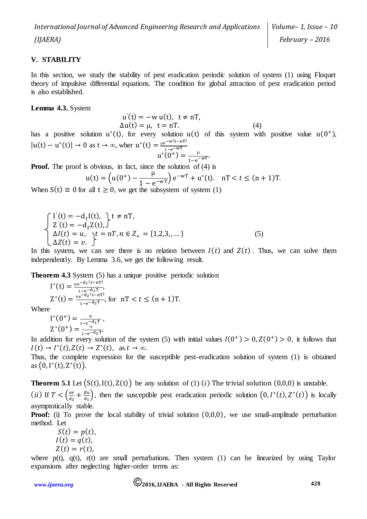*Volume– 1, Issue – 10 February – 2016*

### **V. STABILITY**

In this section, we study the stability of pest eradication periodic solution of system (1) using Floquet theory of impulsive differential equations. The condition for global attraction of pest eradication period is also established.

**Lemma 4.3.** System

$$
u'(t) = -w u(t), t \neq nT,\Delta u(t) = \mu, t = nT.
$$
\n(4)

has a positive solution  $u^*(t)$ , for every solution  $u(t)$  of this system with positive value  $u(0^+)$ ,  $|u(t) - u^*(t)| \to 0$  as  $t \to \infty$ , wher  $u^*(t) = \frac{\mu e^{-w(t-nT)}}{t}$  $1 - e^{-WT}$ 

$$
u^*(0^+) = \frac{\mu}{1 - e^{-wT}}.
$$

**Proof.** The proof is obvious, in fact, since the solution of (4) is

$$
u(t) = \left(u(0^+) - \frac{\mu}{1 - e^{-wT}}\right) e^{-wT} + u^*(t). \quad nT < t \le (n+1)T.
$$

When  $S(t) \equiv 0$  for all  $t \ge 0$ , we get the subsystem of system (1)

$$
\begin{cases}\nI'(t) = -d_1I(t), & t \neq nT, \\
Z'(t) = -d_2Z(t), & \Delta I(t) = u, \quad t = nT, n \in Z_+ = \{1, 2, 3, \dots\} \\
\Delta Z(t) = v. & \Delta I(t) = v.\n\end{cases}
$$
\n(5)

In this system, we can see there is no relation between  $I(t)$  and  $Z(t)$ . Thus, we can solve them independently. By Lemma 3.6, we get the following result.

**Theorem 4.3** System (5) has a unique positive periodic solution

$$
I^*(t) = \frac{u e^{-d_1(t - nT)}}{1 - e^{-d_1T}},
$$
  
\n
$$
Z^*(t) = \frac{ve^{-d_2(t - nT)}}{1 - e^{-d_2T}},
$$
 for  $nT < t \le (n + 1)T$ .

Where

 $I^*(0^+) = \frac{u}{1-u^{-1}}$  $\frac{u}{1-e^{-d_1T}}$ ,  $Z^*(0^+) = \frac{v}{\sqrt{2}}$  $\frac{v}{1-e^{-d_2T}}$ 

In addition for every solution of the system (5) with initial values  $I(0^+) > 0, Z(0^+) > 0$ , it follows that  $I(t) \to I^*(t), Z(t) \to Z^*(t)$ , as  $t \to \infty$ .

Thus, the complete expression for the susceptible pest-eradication solution of system (1) is obtained as  $(0, I^*(t), Z^*(t)).$ 

**Theorem 5.1** Let  $(S(t), I(t), Z(t))$  be any solution of (1) (i) The trivial solution  $(0,0,0)$  is unstable. (*ii*) If  $T < \left(\frac{av}{dx}\right)$  $\frac{av}{d_2} + \frac{\beta u}{d_1}$  $\left(\begin{array}{c} \frac{\beta u}{d_1} \end{array}\right)$ , then the susceptible pest eradication periodic solution  $(0, I^*(t), Z^*(t))$  is locally asymptotically stable.

**Proof:** (i) To prove the local stability of trivial solution  $(0,0,0)$ , we use small-amplitude perturbation method. Let

$$
S(t) = p(t),
$$
  
\n
$$
I(t) = q(t),
$$
  
\n
$$
Z(t) = r(t),
$$

where  $p(t)$ ,  $q(t)$ ,  $r(t)$  are small perturbations. Then system (1) can be linearized by using Taylor expansions after neglecting higher-order terms as: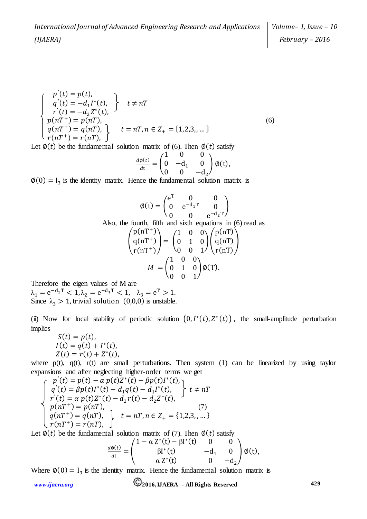$$
\begin{cases}\n p'(t) = p(t), \\
 q'(t) = -d_1 I^*(t), \\
 r'(t) = -d_2 Z^*(t), \\
 p(nT^+) = p(nT), \\
 q(nT^+) = q(nT), \\
 r(nT^+) = r(nT),\n\end{cases} \quad t = nT, n \in Z_+ = \{1, 2, 3, \dots\}
$$
\n(6)

Let  $\phi(t)$  be the fundamental solution matrix of (6). Then  $\phi(t)$  satisfy

$$
\frac{d\phi(t)}{dt} = \begin{pmatrix} 1 & 0 & 0 \\ 0 & -d_1 & 0 \\ 0 & 0 & -d_2 \end{pmatrix} \phi(t),
$$

 $\varphi(0) = I_3$  is the identity matrix. Hence the fundamental solution matrix is

$$
\emptyset(t) = \begin{pmatrix} e^{T} & 0 & 0 \\ 0 & e^{-d_{1}T} & 0 \\ 0 & 0 & e^{-d_{2}T} \end{pmatrix}
$$
  
Also, the fourth, fifth and sixth equations in (6) read as  

$$
\begin{pmatrix} p(nT^{+}) \\ q(nT^{+}) \\ r(nT^{+}) \end{pmatrix} = \begin{pmatrix} 1 & 0 & 0 \\ 0 & 1 & 0 \\ 0 & 0 & 1 \end{pmatrix} \begin{pmatrix} p(nT) \\ q(nT) \\ r(nT) \end{pmatrix}
$$

$$
M = \begin{pmatrix} 1 & 0 & 0 \\ 0 & 1 & 0 \\ 0 & 0 & 1 \end{pmatrix} \emptyset(T).
$$

Therefore the eigen values of M are

 $\lambda_1 = e^{-d_2 T} < 1, \lambda_2 = e^{-d_1 T} < 1, \lambda_3 = e^{T} > 1.$ Since  $\lambda_3 > 1$ , trivial solution  $(0,0,0)$  is unstable.

(ii) Now for local stability of periodic solution  $(0, I^*(t), Z^*(t))$ , the small-amplitude perturbation implies

$$
S(t) = p(t), \nI(t) = q(t) + I^*(t), \nZ(t) = r(t) + Z^*(t),
$$

where  $p(t)$ ,  $q(t)$ ,  $r(t)$  are small perturbations. Then system (1) can be linearized by using taylor expansions and after neglecting higher-order terms we get

$$
\begin{cases}\n p'(t) = p(t) - \alpha p(t)Z^*(t) - \beta p(t)I^*(t), \\
 q'(t) = \beta p(t)I^*(t) - d_1 q(t) - d_1 I^*(t), \\
 r'(t) = \alpha p(t)Z^*(t) - d_2 r(t) - d_2 Z^*(t), \\
 p(nT^+) = p(nT), \\
 q(nT^+) = q(nT), \\
 r(nT^+) = r(nT),\n\end{cases} \quad (7)
$$

Let  $\phi(t)$  be the fundamental solution matrix of (7). Then  $\phi(t)$  satisfy

$$
\frac{d\phi(t)}{dt} = \begin{pmatrix} 1 - \alpha Z^*(t) - \beta I^*(t) & 0 & 0 \\ \beta I^*(t) & -d_1 & 0 \\ \alpha Z^*(t) & 0 & -d_2 \end{pmatrix} \phi(t),
$$

Where  $\phi(0) = I_3$  is the identity matrix. Hence the fundamental solution matrix is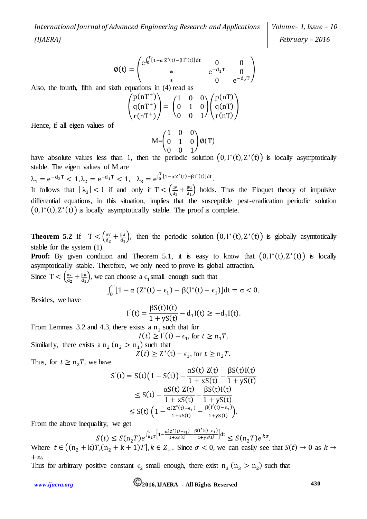*Volume– 1, Issue – 10 February – 2016*

$$
\text{\O}(t)=\begin{pmatrix} e^{\int_0^T [1-\alpha\,Z^*(t)-\beta\,I^*(t)]dt} & 0 & 0 \\ * & e^{-d_1T} & 0 \\ * & 0 & e^{-d_2T} \end{pmatrix}
$$

Also, the fourth, fifth and sixth equations in (4) read as

$$
\begin{pmatrix} p(nT^+) \\ q(nT^+) \\ r(nT^+) \end{pmatrix} = \begin{pmatrix} 1 & 0 & 0 \\ 0 & 1 & 0 \\ 0 & 0 & 1 \end{pmatrix} \begin{pmatrix} p(nT) \\ q(nT) \\ r(nT) \end{pmatrix}
$$

Hence, if all eigen values of

$$
M = \begin{pmatrix} 1 & 0 & 0 \\ 0 & 1 & 0 \\ 0 & 0 & 1 \end{pmatrix} \emptyset(T)
$$

have absolute values less than 1, then the periodic solution  $(0, I^*(t), Z^*(t))$  is locally asymptotically stable. The eigen values of M are

 $\lambda_1 = e^{-d_2 T} < 1, \lambda_2 = e^{-d_1 T} < 1, \quad \lambda_3 = e^{\int_0^T [1 - \alpha Z^*(t) - \beta I^*(t)] dt}.$ It follows that  $|\lambda_3| < 1$  if and only if  $T < \left(\frac{dV}{dr}\right)^2$  $\frac{av}{d_2} + \frac{\beta u}{d_1}$  $\frac{\beta u}{d_1}$  holds. Thus the Floquet theory of impulsive differential equations, in this situation, implies that the susceptible pest-eradication periodic solution  $(0, I^*(t), Z^*(t))$  is locally asymptotically stable. The proof is complete.

**Theorem 5.2** If  $T < \left(\frac{av}{dx}\right)^2$  $\frac{av}{d_2} + \frac{\beta u}{d_1}$  $\frac{\beta u}{d_1}$ , then the periodic solution  $(0, I^*(t), Z^*(t))$  is globally asymtotically stable for the system (1).

**Proof:** By given condition and Theorem 5.1, it is easy to know that  $(0, 1^*(t), Z^*(t))$  is locally asymptotically stable. Therefore, we only need to prove its global attraction.

Since T <  $\frac{av}{dx}$  $\frac{av}{d_2} + \frac{\beta u}{d_1}$  $\frac{\beta u}{d_1}$ , we can choose a  $\epsilon_1$ small enough such that

$$
\int_0^T [1 - \alpha (Z^*(t) - \epsilon_1) - \beta (I^*(t) - \epsilon_1)] dt = \sigma < 0.
$$

Besides, we have

$$
I'(t) = \frac{\beta S(t)I(t)}{1 + yS(t)} - d_1I(t) \ge -d_1I(t).
$$

 $88(38)$ 

From Lemmas 3.2 and 4.3, there exists a  $n_1$  such that for

$$
I(t) \ge I'(t) - \epsilon_1, \text{ for } t \ge n_1 T,
$$

Similarly, there exists a  $n_2$  ( $n_2 > n_1$ ) such that  $Z(t) \geq Z^*(t) - \epsilon_1$ , for  $t \geq n_2 T$ .

Thus, for  $t \geq n_2T$ , we have

$$
S'(t) = S(t)\left(1 - S(t)\right) - \frac{\alpha S(t) Z(t)}{1 + xS(t)} - \frac{\beta S(t)I(t)}{1 + yS(t)}
$$
  
\n
$$
\leq S(t) - \frac{\alpha S(t) Z(t)}{1 + xS(t)} - \frac{\beta S(t)I(t)}{1 + yS(t)}
$$
  
\n
$$
\leq S(t) \left(1 - \frac{\alpha (Z^*(t) - \epsilon_1)}{1 + xS(t)} - \frac{\beta (I'(t) - \epsilon_1)}{1 + yS(t)}\right).
$$

From the above inequality, we get

$$
S(t) \le S(n_2T)e^{\int_{n_2T}^t \left[1-\frac{\alpha(Z^*(t)-\epsilon_1)}{1+xs(t)} - \frac{\beta(I'(t)-\epsilon_1)}{1+ys(t)}\right]dt} \le S(n_2T)e^{k\sigma}.
$$

′(t

Where  $t \in ((n_2 + k)T,(n_2 + k + 1)T], k \in Z_+$ . Since  $\sigma < 0$ , we can easily see that  $S(t) \to 0$  as  $k \to \infty$ +*∞*.

Thus for arbitrary positive constant  $\epsilon_2$  small enough, there exist  $n_3$  ( $n_3 > n_2$ ) such that